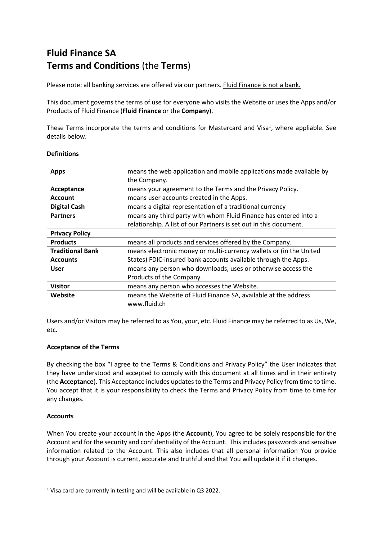## **Fluid Finance SA Terms and Conditions** (the **Terms**)

Please note: all banking services are offered via our partners. Fluid Finance is not a bank.

This document governs the terms of use for everyone who visits the Website or uses the Apps and/or Products of Fluid Finance (**Fluid Finance** or the **Company**).

These Terms incorporate the terms and conditions for Mastercard and Visa<sup>1</sup>, where appliable. See details below.

| <b>Apps</b>             | means the web application and mobile applications made available by |  |
|-------------------------|---------------------------------------------------------------------|--|
|                         | the Company.                                                        |  |
| Acceptance              | means your agreement to the Terms and the Privacy Policy.           |  |
| <b>Account</b>          | means user accounts created in the Apps.                            |  |
| <b>Digital Cash</b>     | means a digital representation of a traditional currency            |  |
| <b>Partners</b>         | means any third party with whom Fluid Finance has entered into a    |  |
|                         | relationship. A list of our Partners is set out in this document.   |  |
| <b>Privacy Policy</b>   |                                                                     |  |
| <b>Products</b>         | means all products and services offered by the Company.             |  |
| <b>Traditional Bank</b> | means electronic money or multi-currency wallets or (in the United  |  |
| <b>Accounts</b>         | States) FDIC-insured bank accounts available through the Apps.      |  |
| <b>User</b>             | means any person who downloads, uses or otherwise access the        |  |
|                         | Products of the Company.                                            |  |
| Visitor                 | means any person who accesses the Website.                          |  |
| Website                 | means the Website of Fluid Finance SA, available at the address     |  |
|                         | www.fluid.ch                                                        |  |

#### **Definitions**

Users and/or Visitors may be referred to as You, your, etc. Fluid Finance may be referred to as Us, We, etc.

#### **Acceptance of the Terms**

By checking the box "I agree to the Terms & Conditions and Privacy Policy" the User indicates that they have understood and accepted to comply with this document at all times and in their entirety (the **Acceptance**). This Acceptance includes updates to the Terms and Privacy Policy from time to time. You accept that it is your responsibility to check the Terms and Privacy Policy from time to time for any changes.

## **Accounts**

When You create your account in the Apps (the **Account**), You agree to be solely responsible for the Account and for the security and confidentiality of the Account. This includes passwords and sensitive information related to the Account. This also includes that all personal information You provide through your Account is current, accurate and truthful and that You will update it if it changes.

<sup>1</sup> Visa card are currently in testing and will be available in Q3 2022.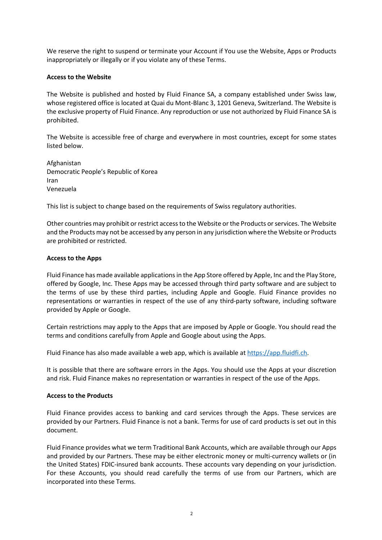We reserve the right to suspend or terminate your Account if You use the Website, Apps or Products inappropriately or illegally or if you violate any of these Terms.

#### **Access to the Website**

The Website is published and hosted by Fluid Finance SA, a company established under Swiss law, whose registered office is located at Quai du Mont-Blanc 3, 1201 Geneva, Switzerland. The Website is the exclusive property of Fluid Finance. Any reproduction or use not authorized by Fluid Finance SA is prohibited.

The Website is accessible free of charge and everywhere in most countries, except for some states listed below.

Afghanistan Democratic People's Republic of Korea Iran Venezuela

This list is subject to change based on the requirements of Swiss regulatory authorities.

Other countries may prohibit or restrict access to the Website or the Products or services. The Website and the Products may not be accessed by any person in any jurisdiction where the Website or Products are prohibited or restricted.

#### **Access to the Apps**

Fluid Finance has made available applicationsin the App Store offered by Apple, Inc and the Play Store, offered by Google, Inc. These Apps may be accessed through third party software and are subject to the terms of use by these third parties, including Apple and Google. Fluid Finance provides no representations or warranties in respect of the use of any third-party software, including software provided by Apple or Google.

Certain restrictions may apply to the Apps that are imposed by Apple or Google. You should read the terms and conditions carefully from Apple and Google about using the Apps.

Fluid Finance has also made available a web app, which is available at https://app.fluidfi.ch.

It is possible that there are software errors in the Apps. You should use the Apps at your discretion and risk. Fluid Finance makes no representation or warranties in respect of the use of the Apps.

#### **Access to the Products**

Fluid Finance provides access to banking and card services through the Apps. These services are provided by our Partners. Fluid Finance is not a bank. Terms for use of card products is set out in this document.

Fluid Finance provides what we term Traditional Bank Accounts, which are available through our Apps and provided by our Partners. These may be either electronic money or multi-currency wallets or (in the United States) FDIC-insured bank accounts. These accounts vary depending on your jurisdiction. For these Accounts, you should read carefully the terms of use from our Partners, which are incorporated into these Terms.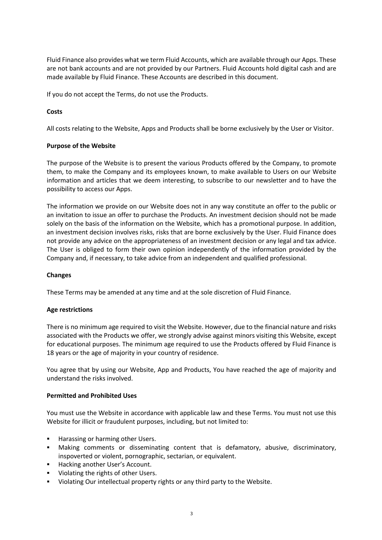Fluid Finance also provides what we term Fluid Accounts, which are available through our Apps. These are not bank accounts and are not provided by our Partners. Fluid Accounts hold digital cash and are made available by Fluid Finance. These Accounts are described in this document.

If you do not accept the Terms, do not use the Products.

## **Costs**

All costs relating to the Website, Apps and Products shall be borne exclusively by the User or Visitor.

#### **Purpose of the Website**

The purpose of the Website is to present the various Products offered by the Company, to promote them, to make the Company and its employees known, to make available to Users on our Website information and articles that we deem interesting, to subscribe to our newsletter and to have the possibility to access our Apps.

The information we provide on our Website does not in any way constitute an offer to the public or an invitation to issue an offer to purchase the Products. An investment decision should not be made solely on the basis of the information on the Website, which has a promotional purpose. In addition, an investment decision involves risks, risks that are borne exclusively by the User. Fluid Finance does not provide any advice on the appropriateness of an investment decision or any legal and tax advice. The User is obliged to form their own opinion independently of the information provided by the Company and, if necessary, to take advice from an independent and qualified professional.

## **Changes**

These Terms may be amended at any time and at the sole discretion of Fluid Finance.

## **Age restrictions**

There is no minimum age required to visit the Website. However, due to the financial nature and risks associated with the Products we offer, we strongly advise against minors visiting this Website, except for educational purposes. The minimum age required to use the Products offered by Fluid Finance is 18 years or the age of majority in your country of residence.

You agree that by using our Website, App and Products, You have reached the age of majority and understand the risks involved.

#### **Permitted and Prohibited Uses**

You must use the Website in accordance with applicable law and these Terms. You must not use this Website for illicit or fraudulent purposes, including, but not limited to:

- Harassing or harming other Users.
- § Making comments or disseminating content that is defamatory, abusive, discriminatory, inspoverted or violent, pornographic, sectarian, or equivalent.
- Hacking another User's Account.
- Violating the rights of other Users.
- § Violating Our intellectual property rights or any third party to the Website.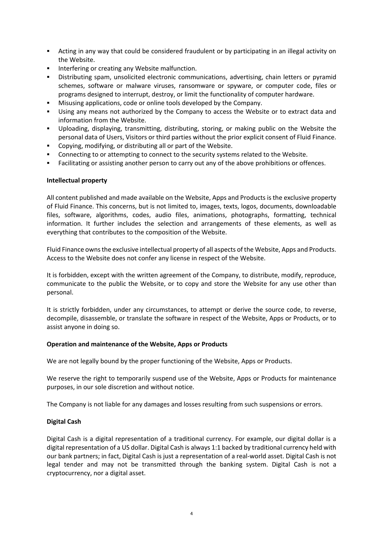- § Acting in any way that could be considered fraudulent or by participating in an illegal activity on the Website.
- **■** Interfering or creating any Website malfunction.
- § Distributing spam, unsolicited electronic communications, advertising, chain letters or pyramid schemes, software or malware viruses, ransomware or spyware, or computer code, files or programs designed to interrupt, destroy, or limit the functionality of computer hardware.
- § Misusing applications, code or online tools developed by the Company.
- Using any means not authorized by the Company to access the Website or to extract data and information from the Website.
- § Uploading, displaying, transmitting, distributing, storing, or making public on the Website the personal data of Users, Visitors or third parties without the prior explicit consent of Fluid Finance.
- Copying, modifying, or distributing all or part of the Website.
- Connecting to or attempting to connect to the security systems related to the Website.
- **•** Facilitating or assisting another person to carry out any of the above prohibitions or offences.

#### **Intellectual property**

All content published and made available on the Website, Apps and Products is the exclusive property of Fluid Finance. This concerns, but is not limited to, images, texts, logos, documents, downloadable files, software, algorithms, codes, audio files, animations, photographs, formatting, technical information. It further includes the selection and arrangements of these elements, as well as everything that contributes to the composition of the Website.

Fluid Finance owns the exclusive intellectual property of all aspects of the Website, Apps and Products. Access to the Website does not confer any license in respect of the Website.

It is forbidden, except with the written agreement of the Company, to distribute, modify, reproduce, communicate to the public the Website, or to copy and store the Website for any use other than personal.

It is strictly forbidden, under any circumstances, to attempt or derive the source code, to reverse, decompile, disassemble, or translate the software in respect of the Website, Apps or Products, or to assist anyone in doing so.

#### **Operation and maintenance of the Website, Apps or Products**

We are not legally bound by the proper functioning of the Website, Apps or Products.

We reserve the right to temporarily suspend use of the Website, Apps or Products for maintenance purposes, in our sole discretion and without notice.

The Company is not liable for any damages and losses resulting from such suspensions or errors.

#### **Digital Cash**

Digital Cash is a digital representation of a traditional currency. For example, our digital dollar is a digital representation of a US dollar. Digital Cash is always 1:1 backed by traditional currency held with our bank partners; in fact, Digital Cash is just a representation of a real-world asset. Digital Cash is not legal tender and may not be transmitted through the banking system. Digital Cash is not a cryptocurrency, nor a digital asset.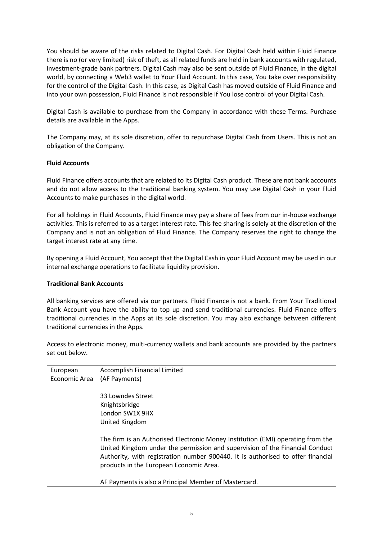You should be aware of the risks related to Digital Cash. For Digital Cash held within Fluid Finance there is no (or very limited) risk of theft, as all related funds are held in bank accounts with regulated, investment-grade bank partners. Digital Cash may also be sent outside of Fluid Finance, in the digital world, by connecting a Web3 wallet to Your Fluid Account. In this case, You take over responsibility for the control of the Digital Cash. In this case, as Digital Cash has moved outside of Fluid Finance and into your own possession, Fluid Finance is not responsible if You lose control of your Digital Cash.

Digital Cash is available to purchase from the Company in accordance with these Terms. Purchase details are available in the Apps.

The Company may, at its sole discretion, offer to repurchase Digital Cash from Users. This is not an obligation of the Company.

#### **Fluid Accounts**

Fluid Finance offers accounts that are related to its Digital Cash product. These are not bank accounts and do not allow access to the traditional banking system. You may use Digital Cash in your Fluid Accounts to make purchases in the digital world.

For all holdings in Fluid Accounts, Fluid Finance may pay a share of fees from our in-house exchange activities. This is referred to as a target interest rate. This fee sharing is solely at the discretion of the Company and is not an obligation of Fluid Finance. The Company reserves the right to change the target interest rate at any time.

By opening a Fluid Account, You accept that the Digital Cash in your Fluid Account may be used in our internal exchange operations to facilitate liquidity provision.

#### **Traditional Bank Accounts**

All banking services are offered via our partners. Fluid Finance is not a bank. From Your Traditional Bank Account you have the ability to top up and send traditional currencies. Fluid Finance offers traditional currencies in the Apps at its sole discretion. You may also exchange between different traditional currencies in the Apps.

Access to electronic money, multi-currency wallets and bank accounts are provided by the partners set out below.

| European      | <b>Accomplish Financial Limited</b>                                             |
|---------------|---------------------------------------------------------------------------------|
| Economic Area | (AF Payments)                                                                   |
|               |                                                                                 |
|               | 33 Lowndes Street                                                               |
|               | Knightsbridge                                                                   |
|               | London SW1X 9HX                                                                 |
|               | United Kingdom                                                                  |
|               |                                                                                 |
|               | The firm is an Authorised Electronic Money Institution (EMI) operating from the |
|               | United Kingdom under the permission and supervision of the Financial Conduct    |
|               | Authority, with registration number 900440. It is authorised to offer financial |
|               | products in the European Economic Area.                                         |
|               |                                                                                 |
|               | AF Payments is also a Principal Member of Mastercard.                           |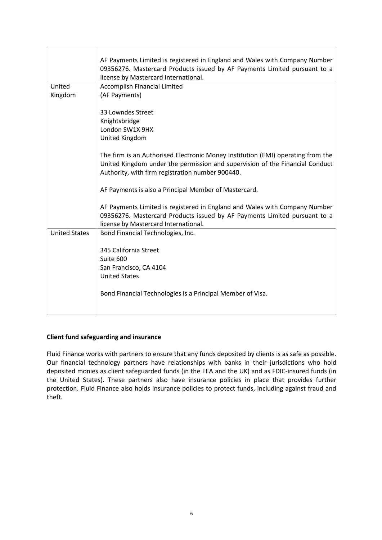|                      | AF Payments Limited is registered in England and Wales with Company Number<br>09356276. Mastercard Products issued by AF Payments Limited pursuant to a<br>license by Mastercard International.                     |
|----------------------|---------------------------------------------------------------------------------------------------------------------------------------------------------------------------------------------------------------------|
| United               | Accomplish Financial Limited                                                                                                                                                                                        |
| Kingdom              | (AF Payments)                                                                                                                                                                                                       |
|                      |                                                                                                                                                                                                                     |
|                      | 33 Lowndes Street                                                                                                                                                                                                   |
|                      | Knightsbridge                                                                                                                                                                                                       |
|                      | London SW1X 9HX                                                                                                                                                                                                     |
|                      | United Kingdom                                                                                                                                                                                                      |
|                      | The firm is an Authorised Electronic Money Institution (EMI) operating from the<br>United Kingdom under the permission and supervision of the Financial Conduct<br>Authority, with firm registration number 900440. |
|                      | AF Payments is also a Principal Member of Mastercard.                                                                                                                                                               |
|                      | AF Payments Limited is registered in England and Wales with Company Number<br>09356276. Mastercard Products issued by AF Payments Limited pursuant to a<br>license by Mastercard International.                     |
| <b>United States</b> | Bond Financial Technologies, Inc.                                                                                                                                                                                   |
|                      |                                                                                                                                                                                                                     |
|                      | 345 California Street                                                                                                                                                                                               |
|                      | Suite 600                                                                                                                                                                                                           |
|                      | San Francisco, CA 4104                                                                                                                                                                                              |
|                      | <b>United States</b>                                                                                                                                                                                                |
|                      | Bond Financial Technologies is a Principal Member of Visa.                                                                                                                                                          |

#### **Client fund safeguarding and insurance**

Fluid Finance works with partners to ensure that any funds deposited by clients is as safe as possible. Our financial technology partners have relationships with banks in their jurisdictions who hold deposited monies as client safeguarded funds (in the EEA and the UK) and as FDIC-insured funds (in the United States). These partners also have insurance policies in place that provides further protection. Fluid Finance also holds insurance policies to protect funds, including against fraud and theft.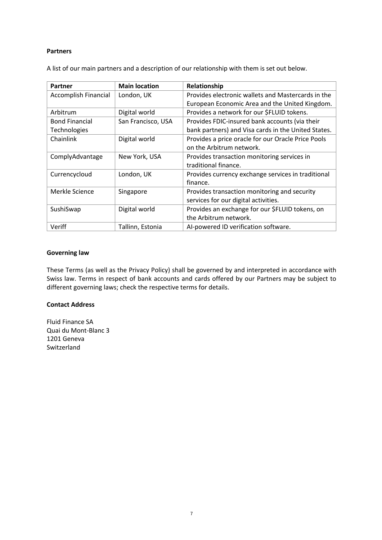#### **Partners**

| Partner                     | <b>Main location</b> | Relationship                                        |
|-----------------------------|----------------------|-----------------------------------------------------|
| <b>Accomplish Financial</b> | London, UK           | Provides electronic wallets and Mastercards in the  |
|                             |                      | European Economic Area and the United Kingdom.      |
| Arbitrum                    | Digital world        | Provides a network for our \$FLUID tokens.          |
| <b>Bond Financial</b>       | San Francisco, USA   | Provides FDIC-insured bank accounts (via their      |
| <b>Technologies</b>         |                      | bank partners) and Visa cards in the United States. |
| Chainlink                   | Digital world        | Provides a price oracle for our Oracle Price Pools  |
|                             |                      | on the Arbitrum network.                            |
| ComplyAdvantage             | New York, USA        | Provides transaction monitoring services in         |
|                             |                      | traditional finance.                                |
| Currencycloud               | London, UK           | Provides currency exchange services in traditional  |
|                             |                      | finance.                                            |
| Merkle Science              | Singapore            | Provides transaction monitoring and security        |
|                             |                      | services for our digital activities.                |
| SushiSwap                   | Digital world        | Provides an exchange for our \$FLUID tokens, on     |
|                             |                      | the Arbitrum network.                               |
| Veriff                      | Tallinn, Estonia     | AI-powered ID verification software.                |

A list of our main partners and a description of our relationship with them is set out below.

#### **Governing law**

These Terms (as well as the Privacy Policy) shall be governed by and interpreted in accordance with Swiss law. Terms in respect of bank accounts and cards offered by our Partners may be subject to different governing laws; check the respective terms for details.

#### **Contact Address**

Fluid Finance SA Quai du Mont-Blanc 3 1201 Geneva Switzerland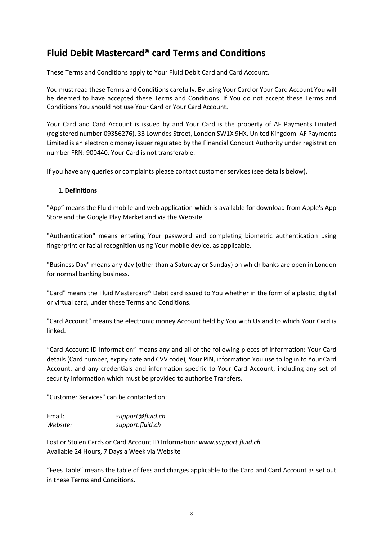## **Fluid Debit Mastercard® card Terms and Conditions**

These Terms and Conditions apply to Your Fluid Debit Card and Card Account.

You must read these Terms and Conditions carefully. By using Your Card or Your Card Account You will be deemed to have accepted these Terms and Conditions. If You do not accept these Terms and Conditions You should not use Your Card or Your Card Account.

Your Card and Card Account is issued by and Your Card is the property of AF Payments Limited (registered number 09356276), 33 Lowndes Street, London SW1X 9HX, United Kingdom. AF Payments Limited is an electronic money issuer regulated by the Financial Conduct Authority under registration number FRN: 900440. Your Card is not transferable.

If you have any queries or complaints please contact customer services (see details below).

#### **1. Definitions**

"App" means the Fluid mobile and web application which is available for download from Apple's App Store and the Google Play Market and via the Website.

"Authentication" means entering Your password and completing biometric authentication using fingerprint or facial recognition using Your mobile device, as applicable.

"Business Day" means any day (other than a Saturday or Sunday) on which banks are open in London for normal banking business.

"Card" means the Fluid Mastercard® Debit card issued to You whether in the form of a plastic, digital or virtual card, under these Terms and Conditions.

"Card Account" means the electronic money Account held by You with Us and to which Your Card is linked.

"Card Account ID Information" means any and all of the following pieces of information: Your Card details (Card number, expiry date and CVV code), Your PIN, information You use to log in to Your Card Account, and any credentials and information specific to Your Card Account, including any set of security information which must be provided to authorise Transfers.

"Customer Services" can be contacted on:

| Email:   | support@fluid.ch |
|----------|------------------|
| Website: | support.fluid.ch |

Lost or Stolen Cards or Card Account ID Information: *www.support.fluid.ch* Available 24 Hours, 7 Days a Week via Website

"Fees Table" means the table of fees and charges applicable to the Card and Card Account as set out in these Terms and Conditions.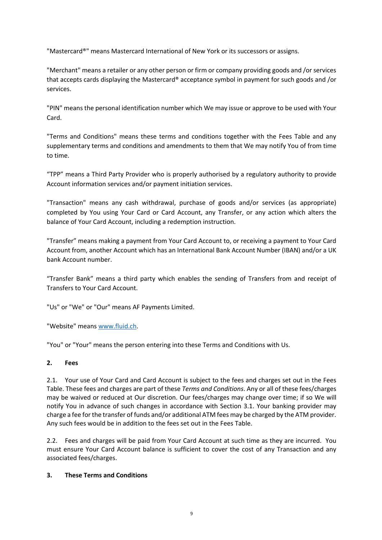"Mastercard®" means Mastercard International of New York or its successors or assigns.

"Merchant" means a retailer or any other person or firm or company providing goods and /or services that accepts cards displaying the Mastercard® acceptance symbol in payment for such goods and /or services.

"PIN" means the personal identification number which We may issue or approve to be used with Your Card.

"Terms and Conditions" means these terms and conditions together with the Fees Table and any supplementary terms and conditions and amendments to them that We may notify You of from time to time.

"TPP" means a Third Party Provider who is properly authorised by a regulatory authority to provide Account information services and/or payment initiation services.

"Transaction" means any cash withdrawal, purchase of goods and/or services (as appropriate) completed by You using Your Card or Card Account, any Transfer, or any action which alters the balance of Your Card Account, including a redemption instruction.

"Transfer" means making a payment from Your Card Account to, or receiving a payment to Your Card Account from, another Account which has an International Bank Account Number (IBAN) and/or a UK bank Account number.

"Transfer Bank" means a third party which enables the sending of Transfers from and receipt of Transfers to Your Card Account.

"Us" or "We" or "Our" means AF Payments Limited.

"Website" means www.fluid.ch.

"You" or "Your" means the person entering into these Terms and Conditions with Us.

## **2. Fees**

2.1. Your use of Your Card and Card Account is subject to the fees and charges set out in the Fees Table. These fees and charges are part of these *Terms and Conditions*. Any or all of these fees/charges may be waived or reduced at Our discretion. Our fees/charges may change over time; if so We will notify You in advance of such changes in accordance with Section 3.1. Your banking provider may charge a fee for the transfer of funds and/or additional ATM fees may be charged by the ATM provider. Any such fees would be in addition to the fees set out in the Fees Table.

2.2. Fees and charges will be paid from Your Card Account at such time as they are incurred. You must ensure Your Card Account balance is sufficient to cover the cost of any Transaction and any associated fees/charges.

#### **3. These Terms and Conditions**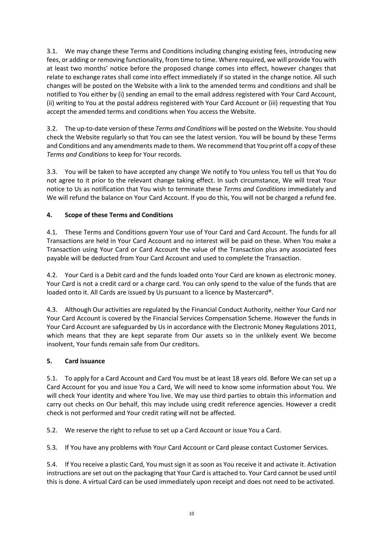3.1. We may change these Terms and Conditions including changing existing fees, introducing new fees, or adding or removing functionality, from time to time. Where required, we will provide You with at least two months' notice before the proposed change comes into effect, however changes that relate to exchange rates shall come into effect immediately if so stated in the change notice. All such changes will be posted on the Website with a link to the amended terms and conditions and shall be notified to You either by (i) sending an email to the email address registered with Your Card Account, (ii) writing to You at the postal address registered with Your Card Account or (iii) requesting that You accept the amended terms and conditions when You access the Website.

3.2. The up-to-date version of these *Terms and Conditions* will be posted on the Website. You should check the Website regularly so that You can see the latest version. You will be bound by these Terms and Conditions and any amendments made to them. We recommend that You print off a copy of these *Terms and Conditions* to keep for Your records.

3.3. You will be taken to have accepted any change We notify to You unless You tell us that You do not agree to it prior to the relevant change taking effect. In such circumstance, We will treat Your notice to Us as notification that You wish to terminate these *Terms and Conditions* immediately and We will refund the balance on Your Card Account. If you do this, You will not be charged a refund fee.

## **4. Scope of these Terms and Conditions**

4.1. These Terms and Conditions govern Your use of Your Card and Card Account. The funds for all Transactions are held in Your Card Account and no interest will be paid on these. When You make a Transaction using Your Card or Card Account the value of the Transaction plus any associated fees payable will be deducted from Your Card Account and used to complete the Transaction.

4.2. Your Card is a Debit card and the funds loaded onto Your Card are known as electronic money. Your Card is not a credit card or a charge card. You can only spend to the value of the funds that are loaded onto it. All Cards are issued by Us pursuant to a licence by Mastercard®.

4.3. Although Our activities are regulated by the Financial Conduct Authority, neither Your Card nor Your Card Account is covered by the Financial Services Compensation Scheme. However the funds in Your Card Account are safeguarded by Us in accordance with the Electronic Money Regulations 2011, which means that they are kept separate from Our assets so in the unlikely event We become insolvent, Your funds remain safe from Our creditors.

## **5. Card issuance**

5.1. To apply for a Card Account and Card You must be at least 18 years old. Before We can set up a Card Account for you and issue You a Card, We will need to know some information about You. We will check Your identity and where You live. We may use third parties to obtain this information and carry out checks on Our behalf, this may include using credit reference agencies. However a credit check is not performed and Your credit rating will not be affected.

5.2. We reserve the right to refuse to set up a Card Account or issue You a Card.

5.3. If You have any problems with Your Card Account or Card please contact Customer Services.

5.4. If You receive a plastic Card, You must sign it as soon as You receive it and activate it. Activation instructions are set out on the packaging that Your Card is attached to. Your Card cannot be used until this is done. A virtual Card can be used immediately upon receipt and does not need to be activated.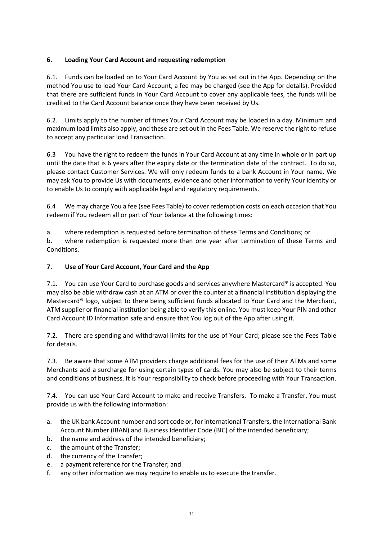## **6. Loading Your Card Account and requesting redemption**

6.1. Funds can be loaded on to Your Card Account by You as set out in the App. Depending on the method You use to load Your Card Account, a fee may be charged (see the App for details). Provided that there are sufficient funds in Your Card Account to cover any applicable fees, the funds will be credited to the Card Account balance once they have been received by Us.

6.2. Limits apply to the number of times Your Card Account may be loaded in a day. Minimum and maximum load limits also apply, and these are set out in the Fees Table. We reserve the right to refuse to accept any particular load Transaction.

6.3 You have the right to redeem the funds in Your Card Account at any time in whole or in part up until the date that is 6 years after the expiry date or the termination date of the contract. To do so, please contact Customer Services. We will only redeem funds to a bank Account in Your name. We may ask You to provide Us with documents, evidence and other information to verify Your identity or to enable Us to comply with applicable legal and regulatory requirements.

6.4 We may charge You a fee (see Fees Table) to cover redemption costs on each occasion that You redeem if You redeem all or part of Your balance at the following times:

a. where redemption is requested before termination of these Terms and Conditions; or

b. where redemption is requested more than one year after termination of these Terms and Conditions.

## **7. Use of Your Card Account, Your Card and the App**

7.1. You can use Your Card to purchase goods and services anywhere Mastercard® is accepted. You may also be able withdraw cash at an ATM or over the counter at a financial institution displaying the Mastercard® logo, subject to there being sufficient funds allocated to Your Card and the Merchant, ATM supplier or financial institution being able to verify this online. You must keep Your PIN and other Card Account ID Information safe and ensure that You log out of the App after using it.

7.2. There are spending and withdrawal limits for the use of Your Card; please see the Fees Table for details.

7.3. Be aware that some ATM providers charge additional fees for the use of their ATMs and some Merchants add a surcharge for using certain types of cards. You may also be subject to their terms and conditions of business. It is Your responsibility to check before proceeding with Your Transaction.

7.4. You can use Your Card Account to make and receive Transfers. To make a Transfer, You must provide us with the following information:

- a. the UK bank Account number and sort code or, for international Transfers, the International Bank Account Number (IBAN) and Business Identifier Code (BIC) of the intended beneficiary;
- b. the name and address of the intended beneficiary;
- c. the amount of the Transfer;
- d. the currency of the Transfer;
- e. a payment reference for the Transfer; and
- f. any other information we may require to enable us to execute the transfer.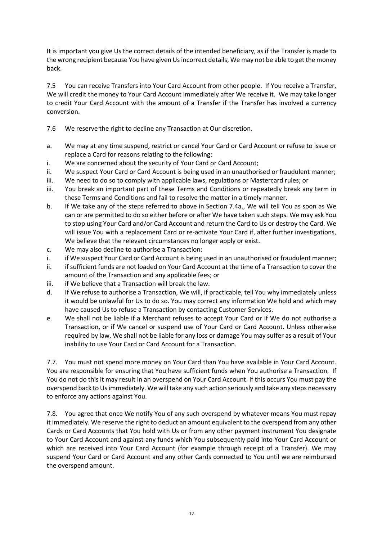It is important you give Us the correct details of the intended beneficiary, as if the Transfer is made to the wrong recipient because You have given Us incorrect details, We may not be able to get the money back.

7.5 You can receive Transfers into Your Card Account from other people. If You receive a Transfer, We will credit the money to Your Card Account immediately after We receive it. We may take longer to credit Your Card Account with the amount of a Transfer if the Transfer has involved a currency conversion.

7.6 We reserve the right to decline any Transaction at Our discretion.

- a. We may at any time suspend, restrict or cancel Your Card or Card Account or refuse to issue or replace a Card for reasons relating to the following:
- i. We are concerned about the security of Your Card or Card Account;
- ii. We suspect Your Card or Card Account is being used in an unauthorised or fraudulent manner;
- iii. We need to do so to comply with applicable laws, regulations or Mastercard rules; or
- iii. You break an important part of these Terms and Conditions or repeatedly break any term in these Terms and Conditions and fail to resolve the matter in a timely manner.
- b. If We take any of the steps referred to above in Section 7.4a., We will tell You as soon as We can or are permitted to do so either before or after We have taken such steps. We may ask You to stop using Your Card and/or Card Account and return the Card to Us or destroy the Card. We will issue You with a replacement Card or re-activate Your Card if, after further investigations, We believe that the relevant circumstances no longer apply or exist.
- c. We may also decline to authorise a Transaction:
- i. if We suspect Your Card or Card Account is being used in an unauthorised or fraudulent manner;
- ii. if sufficient funds are not loaded on Your Card Account at the time of a Transaction to cover the amount of the Transaction and any applicable fees; or
- iii. if We believe that a Transaction will break the law.
- d. If We refuse to authorise a Transaction, We will, if practicable, tell You why immediately unless it would be unlawful for Us to do so. You may correct any information We hold and which may have caused Us to refuse a Transaction by contacting Customer Services.
- e. We shall not be liable if a Merchant refuses to accept Your Card or if We do not authorise a Transaction, or if We cancel or suspend use of Your Card or Card Account. Unless otherwise required by law, We shall not be liable for any loss or damage You may suffer as a result of Your inability to use Your Card or Card Account for a Transaction.

7.7. You must not spend more money on Your Card than You have available in Your Card Account. You are responsible for ensuring that You have sufficient funds when You authorise a Transaction. If You do not do this it may result in an overspend on Your Card Account. If this occurs You must pay the overspend back to Us immediately. We will take any such action seriously and take any steps necessary to enforce any actions against You.

7.8. You agree that once We notify You of any such overspend by whatever means You must repay it immediately. We reserve the right to deduct an amount equivalent to the overspend from any other Cards or Card Accounts that You hold with Us or from any other payment instrument You designate to Your Card Account and against any funds which You subsequently paid into Your Card Account or which are received into Your Card Account (for example through receipt of a Transfer). We may suspend Your Card or Card Account and any other Cards connected to You until we are reimbursed the overspend amount.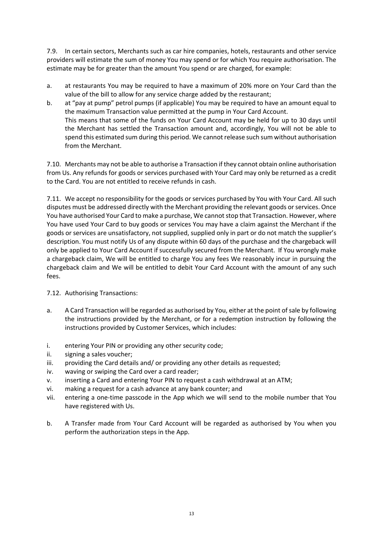7.9. In certain sectors, Merchants such as car hire companies, hotels, restaurants and other service providers will estimate the sum of money You may spend or for which You require authorisation. The estimate may be for greater than the amount You spend or are charged, for example:

- a. at restaurants You may be required to have a maximum of 20% more on Your Card than the value of the bill to allow for any service charge added by the restaurant;
- b. at "pay at pump" petrol pumps (if applicable) You may be required to have an amount equal to the maximum Transaction value permitted at the pump in Your Card Account. This means that some of the funds on Your Card Account may be held for up to 30 days until the Merchant has settled the Transaction amount and, accordingly, You will not be able to spend this estimated sum during this period. We cannot release such sum without authorisation from the Merchant.

7.10. Merchants may not be able to authorise a Transaction if they cannot obtain online authorisation from Us. Any refunds for goods or services purchased with Your Card may only be returned as a credit to the Card. You are not entitled to receive refunds in cash.

7.11. We accept no responsibility for the goods or services purchased by You with Your Card. All such disputes must be addressed directly with the Merchant providing the relevant goods or services. Once You have authorised Your Card to make a purchase, We cannot stop that Transaction. However, where You have used Your Card to buy goods or services You may have a claim against the Merchant if the goods or services are unsatisfactory, not supplied, supplied only in part or do not match the supplier's description. You must notify Us of any dispute within 60 days of the purchase and the chargeback will only be applied to Your Card Account if successfully secured from the Merchant. If You wrongly make a chargeback claim, We will be entitled to charge You any fees We reasonably incur in pursuing the chargeback claim and We will be entitled to debit Your Card Account with the amount of any such fees.

## 7.12. Authorising Transactions:

- a. A Card Transaction will be regarded as authorised by You, either at the point of sale by following the instructions provided by the Merchant, or for a redemption instruction by following the instructions provided by Customer Services, which includes:
- i. entering Your PIN or providing any other security code;
- ii. signing a sales voucher;
- iii. providing the Card details and/ or providing any other details as requested;
- iv. waving or swiping the Card over a card reader;
- v. inserting a Card and entering Your PIN to request a cash withdrawal at an ATM;
- vi. making a request for a cash advance at any bank counter; and
- vii. entering a one-time passcode in the App which we will send to the mobile number that You have registered with Us.
- b. A Transfer made from Your Card Account will be regarded as authorised by You when you perform the authorization steps in the App.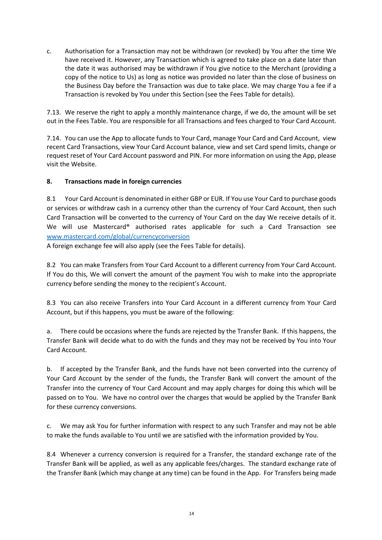c. Authorisation for a Transaction may not be withdrawn (or revoked) by You after the time We have received it. However, any Transaction which is agreed to take place on a date later than the date it was authorised may be withdrawn if You give notice to the Merchant (providing a copy of the notice to Us) as long as notice was provided no later than the close of business on the Business Day before the Transaction was due to take place. We may charge You a fee if a Transaction is revoked by You under this Section (see the Fees Table for details).

7.13. We reserve the right to apply a monthly maintenance charge, if we do, the amount will be set out in the Fees Table. You are responsible for all Transactions and fees charged to Your Card Account.

7.14. You can use the App to allocate funds to Your Card, manage Your Card and Card Account, view recent Card Transactions, view Your Card Account balance, view and set Card spend limits, change or request reset of Your Card Account password and PIN. For more information on using the App, please visit the Website.

#### **8. Transactions made in foreign currencies**

8.1 Your Card Account is denominated in either GBP or EUR. If You use Your Card to purchase goods or services or withdraw cash in a currency other than the currency of Your Card Account, then such Card Transaction will be converted to the currency of Your Card on the day We receive details of it. We will use Mastercard® authorised rates applicable for such a Card Transaction see www.mastercard.com/global/currencyconversion

A foreign exchange fee will also apply (see the Fees Table for details).

8.2 You can make Transfers from Your Card Account to a different currency from Your Card Account. If You do this, We will convert the amount of the payment You wish to make into the appropriate currency before sending the money to the recipient's Account.

8.3 You can also receive Transfers into Your Card Account in a different currency from Your Card Account, but if this happens, you must be aware of the following:

a. There could be occasions where the funds are rejected by the Transfer Bank. If this happens, the Transfer Bank will decide what to do with the funds and they may not be received by You into Your Card Account.

b. If accepted by the Transfer Bank, and the funds have not been converted into the currency of Your Card Account by the sender of the funds, the Transfer Bank will convert the amount of the Transfer into the currency of Your Card Account and may apply charges for doing this which will be passed on to You. We have no control over the charges that would be applied by the Transfer Bank for these currency conversions.

We may ask You for further information with respect to any such Transfer and may not be able to make the funds available to You until we are satisfied with the information provided by You.

8.4 Whenever a currency conversion is required for a Transfer, the standard exchange rate of the Transfer Bank will be applied, as well as any applicable fees/charges. The standard exchange rate of the Transfer Bank (which may change at any time) can be found in the App. For Transfers being made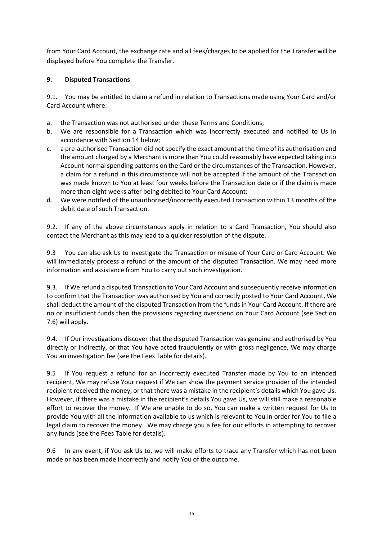from Your Card Account, the exchange rate and all fees/charges to be applied for the Transfer will be displayed before You complete the Transfer.

## **9. Disputed Transactions**

9.1. You may be entitled to claim a refund in relation to Transactions made using Your Card and/or Card Account where:

- a. the Transaction was not authorised under these Terms and Conditions;
- b. We are responsible for a Transaction which was incorrectly executed and notified to Us in accordance with Section 14 below;
- c. a pre-authorised Transaction did not specify the exact amount at the time of its authorisation and the amount charged by a Merchant is more than You could reasonably have expected taking into Account normal spending patterns on the Card or the circumstances of the Transaction. However, a claim for a refund in this circumstance will not be accepted if the amount of the Transaction was made known to You at least four weeks before the Transaction date or if the claim is made more than eight weeks after being debited to Your Card Account;
- d. We were notified of the unauthorised/incorrectly executed Transaction within 13 months of the debit date of such Transaction.

9.2. If any of the above circumstances apply in relation to a Card Transaction, You should also contact the Merchant as this may lead to a quicker resolution of the dispute.

9.3 You can also ask Us to investigate the Transaction or misuse of Your Card or Card Account. We will immediately process a refund of the amount of the disputed Transaction. We may need more information and assistance from You to carry out such investigation.

9.3. If We refund a disputed Transaction to Your Card Account and subsequently receive information to confirm that the Transaction was authorised by You and correctly posted to Your Card Account, We shall deduct the amount of the disputed Transaction from the funds in Your Card Account. If there are no or insufficient funds then the provisions regarding overspend on Your Card Account (see Section 7.6) will apply.

9.4. If Our investigations discover that the disputed Transaction was genuine and authorised by You directly or indirectly, or that You have acted fraudulently or with gross negligence, We may charge You an investigation fee (see the Fees Table for details).

9.5 If You request a refund for an incorrectly executed Transfer made by You to an intended recipient, We may refuse Your request if We can show the payment service provider of the intended recipient received the money, or that there was a mistake in the recipient's details which You gave Us. However, if there was a mistake in the recipient's details You gave Us, we will still make a reasonable effort to recover the money. If We are unable to do so, You can make a written request for Us to provide You with all the information available to us which is relevant to You in order for You to file a legal claim to recover the money. We may charge you a fee for our efforts in attempting to recover any funds (see the Fees Table for details).

9.6 In any event, if You ask Us to, we will make efforts to trace any Transfer which has not been made or has been made incorrectly and notify You of the outcome.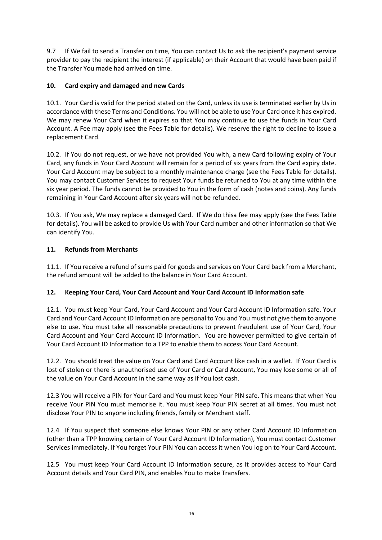9.7 If We fail to send a Transfer on time, You can contact Us to ask the recipient's payment service provider to pay the recipient the interest (if applicable) on their Account that would have been paid if the Transfer You made had arrived on time.

## **10. Card expiry and damaged and new Cards**

10.1. Your Card is valid for the period stated on the Card, unless its use is terminated earlier by Us in accordance with these Terms and Conditions. You will not be able to use Your Card once it has expired. We may renew Your Card when it expires so that You may continue to use the funds in Your Card Account. A Fee may apply (see the Fees Table for details). We reserve the right to decline to issue a replacement Card.

10.2. If You do not request, or we have not provided You with, a new Card following expiry of Your Card, any funds in Your Card Account will remain for a period of six years from the Card expiry date. Your Card Account may be subject to a monthly maintenance charge (see the Fees Table for details). You may contact Customer Services to request Your funds be returned to You at any time within the six year period. The funds cannot be provided to You in the form of cash (notes and coins). Any funds remaining in Your Card Account after six years will not be refunded.

10.3. If You ask, We may replace a damaged Card. If We do thisa fee may apply (see the Fees Table for details). You will be asked to provide Us with Your Card number and other information so that We can identify You.

## **11. Refunds from Merchants**

11.1. If You receive a refund of sums paid for goods and services on Your Card back from a Merchant, the refund amount will be added to the balance in Your Card Account.

## **12. Keeping Your Card, Your Card Account and Your Card Account ID Information safe**

12.1. You must keep Your Card, Your Card Account and Your Card Account ID Information safe. Your Card and Your Card Account ID Information are personal to You and You must not give them to anyone else to use. You must take all reasonable precautions to prevent fraudulent use of Your Card, Your Card Account and Your Card Account ID Information. You are however permitted to give certain of Your Card Account ID Information to a TPP to enable them to access Your Card Account.

12.2. You should treat the value on Your Card and Card Account like cash in a wallet. If Your Card is lost of stolen or there is unauthorised use of Your Card or Card Account, You may lose some or all of the value on Your Card Account in the same way as if You lost cash.

12.3 You will receive a PIN for Your Card and You must keep Your PIN safe. This means that when You receive Your PIN You must memorise it. You must keep Your PIN secret at all times. You must not disclose Your PIN to anyone including friends, family or Merchant staff.

12.4 If You suspect that someone else knows Your PIN or any other Card Account ID Information (other than a TPP knowing certain of Your Card Account ID Information), You must contact Customer Services immediately. If You forget Your PIN You can access it when You log on to Your Card Account.

12.5 You must keep Your Card Account ID Information secure, as it provides access to Your Card Account details and Your Card PIN, and enables You to make Transfers.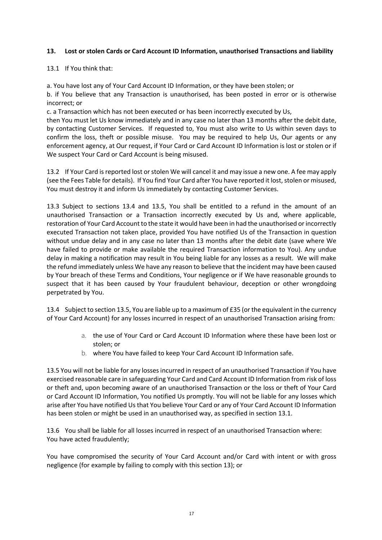### **13. Lost or stolen Cards or Card Account ID Information, unauthorised Transactions and liability**

13.1 If You think that:

a. You have lost any of Your Card Account ID Information, or they have been stolen; or

b. if You believe that any Transaction is unauthorised, has been posted in error or is otherwise incorrect; or

c. a Transaction which has not been executed or has been incorrectly executed by Us,

then You must let Us know immediately and in any case no later than 13 months after the debit date, by contacting Customer Services. If requested to, You must also write to Us within seven days to confirm the loss, theft or possible misuse. You may be required to help Us, Our agents or any enforcement agency, at Our request, if Your Card or Card Account ID Information is lost or stolen or if We suspect Your Card or Card Account is being misused.

13.2 If Your Card is reported lost or stolen We will cancel it and may issue a new one. A fee may apply (see the Fees Table for details). If You find Your Card after You have reported it lost, stolen or misused, You must destroy it and inform Us immediately by contacting Customer Services.

13.3 Subject to sections 13.4 and 13.5, You shall be entitled to a refund in the amount of an unauthorised Transaction or a Transaction incorrectly executed by Us and, where applicable, restoration of Your Card Account to the state it would have been in had the unauthorised or incorrectly executed Transaction not taken place, provided You have notified Us of the Transaction in question without undue delay and in any case no later than 13 months after the debit date (save where We have failed to provide or make available the required Transaction information to You). Any undue delay in making a notification may result in You being liable for any losses as a result. We will make the refund immediately unless We have any reason to believe that the incident may have been caused by Your breach of these Terms and Conditions, Your negligence or if We have reasonable grounds to suspect that it has been caused by Your fraudulent behaviour, deception or other wrongdoing perpetrated by You.

13.4 Subject to section 13.5, You are liable up to a maximum of £35 (or the equivalent in the currency of Your Card Account) for any losses incurred in respect of an unauthorised Transaction arising from:

- a. the use of Your Card or Card Account ID Information where these have been lost or stolen; or
- b. where You have failed to keep Your Card Account ID Information safe.

13.5 You will not be liable for any losses incurred in respect of an unauthorised Transaction if You have exercised reasonable care in safeguarding Your Card and Card Account ID Information from risk of loss or theft and, upon becoming aware of an unauthorised Transaction or the loss or theft of Your Card or Card Account ID Information, You notified Us promptly. You will not be liable for any losses which arise after You have notified Us that You believe Your Card or any of Your Card Account ID Information has been stolen or might be used in an unauthorised way, as specified in section 13.1.

13.6 You shall be liable for all losses incurred in respect of an unauthorised Transaction where: You have acted fraudulently;

You have compromised the security of Your Card Account and/or Card with intent or with gross negligence (for example by failing to comply with this section 13); or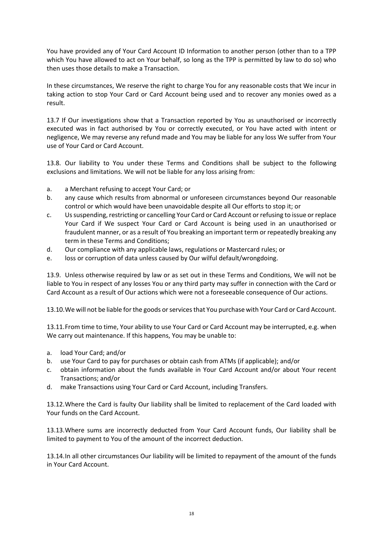You have provided any of Your Card Account ID Information to another person (other than to a TPP which You have allowed to act on Your behalf, so long as the TPP is permitted by law to do so) who then uses those details to make a Transaction.

In these circumstances, We reserve the right to charge You for any reasonable costs that We incur in taking action to stop Your Card or Card Account being used and to recover any monies owed as a result.

13.7 If Our investigations show that a Transaction reported by You as unauthorised or incorrectly executed was in fact authorised by You or correctly executed, or You have acted with intent or negligence, We may reverse any refund made and You may be liable for any loss We suffer from Your use of Your Card or Card Account.

13.8. Our liability to You under these Terms and Conditions shall be subject to the following exclusions and limitations. We will not be liable for any loss arising from:

- a. a Merchant refusing to accept Your Card; or
- b. any cause which results from abnormal or unforeseen circumstances beyond Our reasonable control or which would have been unavoidable despite all Our efforts to stop it; or
- c. Us suspending, restricting or cancelling Your Card or Card Account or refusing to issue or replace Your Card if We suspect Your Card or Card Account is being used in an unauthorised or fraudulent manner, or as a result of You breaking an important term or repeatedly breaking any term in these Terms and Conditions;
- d. Our compliance with any applicable laws, regulations or Mastercard rules; or
- e. loss or corruption of data unless caused by Our wilful default/wrongdoing.

13.9. Unless otherwise required by law or as set out in these Terms and Conditions, We will not be liable to You in respect of any losses You or any third party may suffer in connection with the Card or Card Account as a result of Our actions which were not a foreseeable consequence of Our actions.

13.10.We will not be liable for the goods or services that You purchase with Your Card or Card Account.

13.11.From time to time, Your ability to use Your Card or Card Account may be interrupted, e.g. when We carry out maintenance. If this happens, You may be unable to:

- a. load Your Card; and/or
- b. use Your Card to pay for purchases or obtain cash from ATMs (if applicable); and/or
- c. obtain information about the funds available in Your Card Account and/or about Your recent Transactions; and/or
- d. make Transactions using Your Card or Card Account, including Transfers.

13.12.Where the Card is faulty Our liability shall be limited to replacement of the Card loaded with Your funds on the Card Account.

13.13.Where sums are incorrectly deducted from Your Card Account funds, Our liability shall be limited to payment to You of the amount of the incorrect deduction.

13.14.In all other circumstances Our liability will be limited to repayment of the amount of the funds in Your Card Account.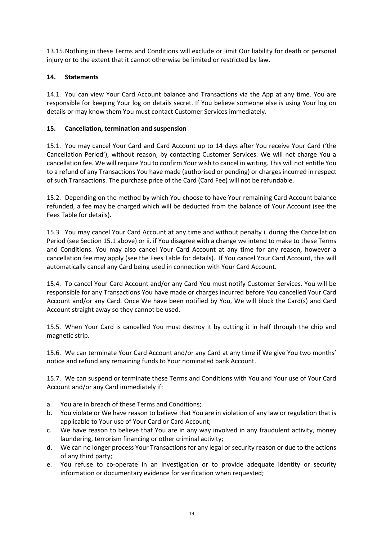13.15.Nothing in these Terms and Conditions will exclude or limit Our liability for death or personal injury or to the extent that it cannot otherwise be limited or restricted by law.

## **14. Statements**

14.1. You can view Your Card Account balance and Transactions via the App at any time. You are responsible for keeping Your log on details secret. If You believe someone else is using Your log on details or may know them You must contact Customer Services immediately.

## **15. Cancellation, termination and suspension**

15.1. You may cancel Your Card and Card Account up to 14 days after You receive Your Card ('the Cancellation Period'), without reason, by contacting Customer Services. We will not charge You a cancellation fee. We will require You to confirm Your wish to cancel in writing. This will not entitle You to a refund of any Transactions You have made (authorised or pending) or charges incurred in respect of such Transactions. The purchase price of the Card (Card Fee) will not be refundable.

15.2. Depending on the method by which You choose to have Your remaining Card Account balance refunded, a fee may be charged which will be deducted from the balance of Your Account (see the Fees Table for details).

15.3. You may cancel Your Card Account at any time and without penalty i. during the Cancellation Period (see Section 15.1 above) or ii. if You disagree with a change we intend to make to these Terms and Conditions. You may also cancel Your Card Account at any time for any reason, however a cancellation fee may apply (see the Fees Table for details). If You cancel Your Card Account, this will automatically cancel any Card being used in connection with Your Card Account.

15.4. To cancel Your Card Account and/or any Card You must notify Customer Services. You will be responsible for any Transactions You have made or charges incurred before You cancelled Your Card Account and/or any Card. Once We have been notified by You, We will block the Card(s) and Card Account straight away so they cannot be used.

15.5. When Your Card is cancelled You must destroy it by cutting it in half through the chip and magnetic strip.

15.6. We can terminate Your Card Account and/or any Card at any time if We give You two months' notice and refund any remaining funds to Your nominated bank Account.

15.7. We can suspend or terminate these Terms and Conditions with You and Your use of Your Card Account and/or any Card immediately if:

- a. You are in breach of these Terms and Conditions;
- b. You violate or We have reason to believe that You are in violation of any law or regulation that is applicable to Your use of Your Card or Card Account;
- c. We have reason to believe that You are in any way involved in any fraudulent activity, money laundering, terrorism financing or other criminal activity;
- d. We can no longer process Your Transactions for any legal or security reason or due to the actions of any third party;
- e. You refuse to co-operate in an investigation or to provide adequate identity or security information or documentary evidence for verification when requested;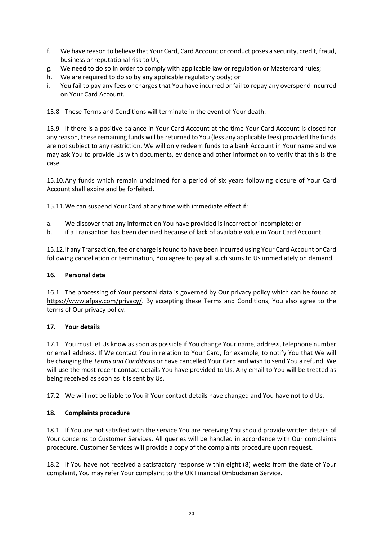- f. We have reason to believe that Your Card, Card Account or conduct poses a security, credit, fraud, business or reputational risk to Us;
- g. We need to do so in order to comply with applicable law or regulation or Mastercard rules;
- h. We are required to do so by any applicable regulatory body; or
- i. You fail to pay any fees or charges that You have incurred or fail to repay any overspend incurred on Your Card Account.

15.8. These Terms and Conditions will terminate in the event of Your death.

15.9. If there is a positive balance in Your Card Account at the time Your Card Account is closed for any reason, these remaining funds will be returned to You (less any applicable fees) provided the funds are not subject to any restriction. We will only redeem funds to a bank Account in Your name and we may ask You to provide Us with documents, evidence and other information to verify that this is the case.

15.10.Any funds which remain unclaimed for a period of six years following closure of Your Card Account shall expire and be forfeited.

15.11.We can suspend Your Card at any time with immediate effect if:

- a. We discover that any information You have provided is incorrect or incomplete; or
- b. if a Transaction has been declined because of lack of available value in Your Card Account.

15.12.If any Transaction, fee or charge is found to have been incurred using Your Card Account or Card following cancellation or termination, You agree to pay all such sums to Us immediately on demand.

#### **16. Personal data**

16.1. The processing of Your personal data is governed by Our privacy policy which can be found at https://www.afpay.com/privacy/. By accepting these Terms and Conditions, You also agree to the terms of Our privacy policy.

#### **17. Your details**

17.1. You must let Us know as soon as possible if You change Your name, address, telephone number or email address. If We contact You in relation to Your Card, for example, to notify You that We will be changing the *Terms and Conditions* or have cancelled Your Card and wish to send You a refund, We will use the most recent contact details You have provided to Us. Any email to You will be treated as being received as soon as it is sent by Us.

17.2. We will not be liable to You if Your contact details have changed and You have not told Us.

## **18. Complaints procedure**

18.1. If You are not satisfied with the service You are receiving You should provide written details of Your concerns to Customer Services. All queries will be handled in accordance with Our complaints procedure. Customer Services will provide a copy of the complaints procedure upon request.

18.2. If You have not received a satisfactory response within eight (8) weeks from the date of Your complaint, You may refer Your complaint to the UK Financial Ombudsman Service.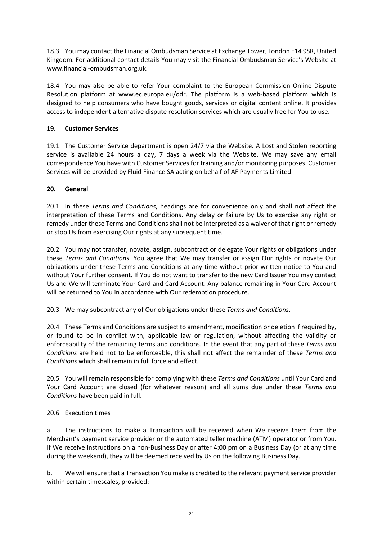18.3. You may contact the Financial Ombudsman Service at Exchange Tower, London E14 9SR, United Kingdom. For additional contact details You may visit the Financial Ombudsman Service's Website at www.financial-ombudsman.org.uk.

18.4 You may also be able to refer Your complaint to the European Commission Online Dispute Resolution platform at www.ec.europa.eu/odr. The platform is a web-based platform which is designed to help consumers who have bought goods, services or digital content online. It provides access to independent alternative dispute resolution services which are usually free for You to use.

## **19. Customer Services**

19.1. The Customer Service department is open 24/7 via the Website. A Lost and Stolen reporting service is available 24 hours a day, 7 days a week via the Website. We may save any email correspondence You have with Customer Services for training and/or monitoring purposes. Customer Services will be provided by Fluid Finance SA acting on behalf of AF Payments Limited.

## **20. General**

20.1. In these *Terms and Conditions*, headings are for convenience only and shall not affect the interpretation of these Terms and Conditions. Any delay or failure by Us to exercise any right or remedy under these Terms and Conditions shall not be interpreted as a waiver of that right or remedy or stop Us from exercising Our rights at any subsequent time.

20.2. You may not transfer, novate, assign, subcontract or delegate Your rights or obligations under these *Terms and Conditions*. You agree that We may transfer or assign Our rights or novate Our obligations under these Terms and Conditions at any time without prior written notice to You and without Your further consent. If You do not want to transfer to the new Card Issuer You may contact Us and We will terminate Your Card and Card Account. Any balance remaining in Your Card Account will be returned to You in accordance with Our redemption procedure.

20.3. We may subcontract any of Our obligations under these *Terms and Conditions*.

20.4. These Terms and Conditions are subject to amendment, modification or deletion if required by, or found to be in conflict with, applicable law or regulation, without affecting the validity or enforceability of the remaining terms and conditions. In the event that any part of these *Terms and Conditions* are held not to be enforceable, this shall not affect the remainder of these *Terms and Conditions* which shall remain in full force and effect.

20.5. You will remain responsible for complying with these *Terms and Conditions* until Your Card and Your Card Account are closed (for whatever reason) and all sums due under these *Terms and Conditions* have been paid in full.

## 20.6 Execution times

a. The instructions to make a Transaction will be received when We receive them from the Merchant's payment service provider or the automated teller machine (ATM) operator or from You. If We receive instructions on a non-Business Day or after 4:00 pm on a Business Day (or at any time during the weekend), they will be deemed received by Us on the following Business Day.

b. We will ensure that a Transaction You make is credited to the relevant payment service provider within certain timescales, provided: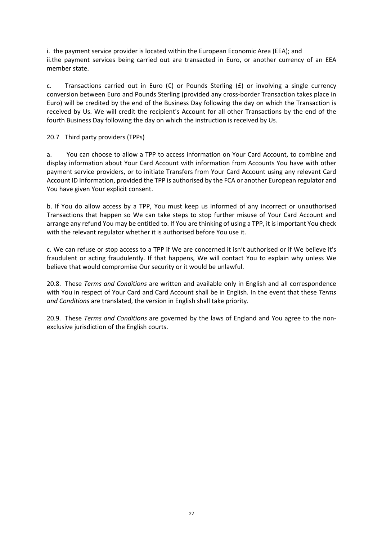i. the payment service provider is located within the European Economic Area (EEA); and ii.the payment services being carried out are transacted in Euro, or another currency of an EEA member state.

c. Transactions carried out in Euro  $(\epsilon)$  or Pounds Sterling  $(\epsilon)$  or involving a single currency conversion between Euro and Pounds Sterling (provided any cross-border Transaction takes place in Euro) will be credited by the end of the Business Day following the day on which the Transaction is received by Us. We will credit the recipient's Account for all other Transactions by the end of the fourth Business Day following the day on which the instruction is received by Us.

20.7 Third party providers (TPPs)

a. You can choose to allow a TPP to access information on Your Card Account, to combine and display information about Your Card Account with information from Accounts You have with other payment service providers, or to initiate Transfers from Your Card Account using any relevant Card Account ID Information, provided the TPP is authorised by the FCA or another European regulator and You have given Your explicit consent.

b. If You do allow access by a TPP, You must keep us informed of any incorrect or unauthorised Transactions that happen so We can take steps to stop further misuse of Your Card Account and arrange any refund You may be entitled to. If You are thinking of using a TPP, it is important You check with the relevant regulator whether it is authorised before You use it.

c. We can refuse or stop access to a TPP if We are concerned it isn't authorised or if We believe it's fraudulent or acting fraudulently. If that happens, We will contact You to explain why unless We believe that would compromise Our security or it would be unlawful.

20.8. These *Terms and Conditions* are written and available only in English and all correspondence with You in respect of Your Card and Card Account shall be in English. In the event that these *Terms and Conditions* are translated, the version in English shall take priority.

20.9. These *Terms and Conditions* are governed by the laws of England and You agree to the nonexclusive jurisdiction of the English courts.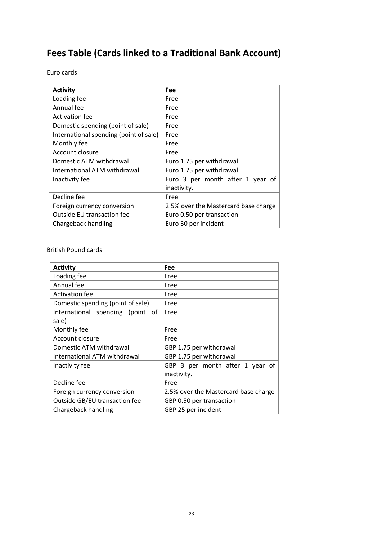## **Fees Table (Cards linked to a Traditional Bank Account)**

Euro cards

| <b>Activity</b>                        | Fee                                  |
|----------------------------------------|--------------------------------------|
| Loading fee                            | Free                                 |
| Annual fee                             | Free                                 |
| <b>Activation fee</b>                  | Free                                 |
| Domestic spending (point of sale)      | Free                                 |
| International spending (point of sale) | Free                                 |
| Monthly fee                            | Free                                 |
| Account closure                        | Free                                 |
| Domestic ATM withdrawal                | Euro 1.75 per withdrawal             |
| International ATM withdrawal           | Euro 1.75 per withdrawal             |
| Inactivity fee                         | Euro 3 per month after 1 year of     |
|                                        | inactivity.                          |
| Decline fee                            | Free                                 |
| Foreign currency conversion            | 2.5% over the Mastercard base charge |
| Outside EU transaction fee             | Euro 0.50 per transaction            |
| Chargeback handling                    | Euro 30 per incident                 |

British Pound cards

| <b>Activity</b>                   | Fee                                  |
|-----------------------------------|--------------------------------------|
| Loading fee                       | Free                                 |
| Annual fee                        | Free                                 |
| <b>Activation fee</b>             | Free                                 |
| Domestic spending (point of sale) | Free                                 |
| International spending (point of  | Free                                 |
| sale)                             |                                      |
| Monthly fee                       | Free                                 |
| Account closure                   | Free                                 |
| Domestic ATM withdrawal           | GBP 1.75 per withdrawal              |
| International ATM withdrawal      | GBP 1.75 per withdrawal              |
| Inactivity fee                    | GBP 3 per month after 1 year of      |
|                                   | inactivity.                          |
| Decline fee                       | Free                                 |
| Foreign currency conversion       | 2.5% over the Mastercard base charge |
| Outside GB/EU transaction fee     | GBP 0.50 per transaction             |
| Chargeback handling               | GBP 25 per incident                  |